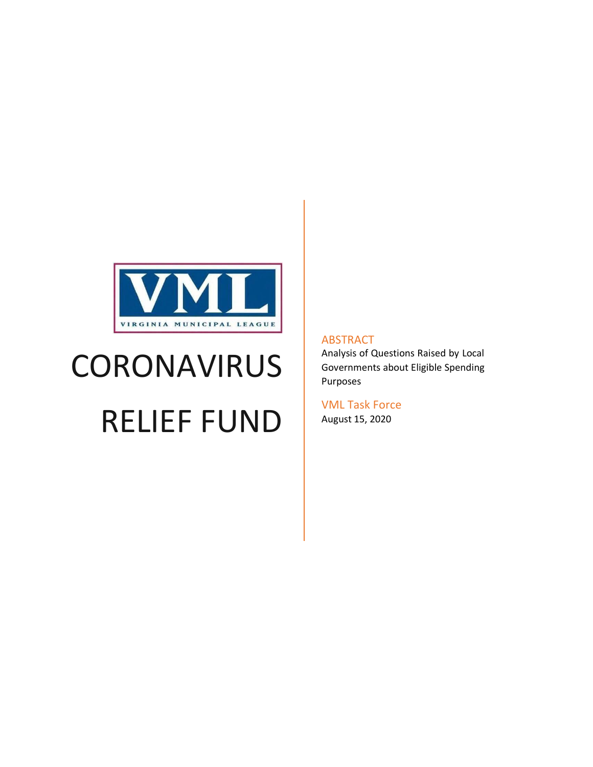

# **CORONAVIRUS**

# RELIEF FUND

#### ABSTRACT

Analysis of Questions Raised by Local Governments about Eligible Spending Purposes

VML Task Force August 15, 2020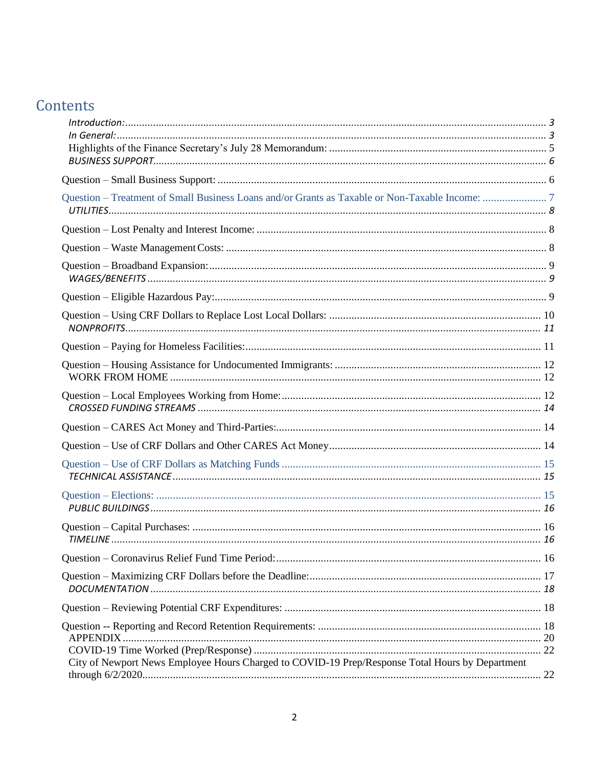# Contents

| In General: 3                                                                                   |  |
|-------------------------------------------------------------------------------------------------|--|
|                                                                                                 |  |
|                                                                                                 |  |
|                                                                                                 |  |
|                                                                                                 |  |
|                                                                                                 |  |
|                                                                                                 |  |
|                                                                                                 |  |
|                                                                                                 |  |
|                                                                                                 |  |
|                                                                                                 |  |
|                                                                                                 |  |
|                                                                                                 |  |
|                                                                                                 |  |
|                                                                                                 |  |
|                                                                                                 |  |
|                                                                                                 |  |
|                                                                                                 |  |
|                                                                                                 |  |
|                                                                                                 |  |
|                                                                                                 |  |
|                                                                                                 |  |
| City of Newport News Employee Hours Charged to COVID-19 Prep/Response Total Hours by Department |  |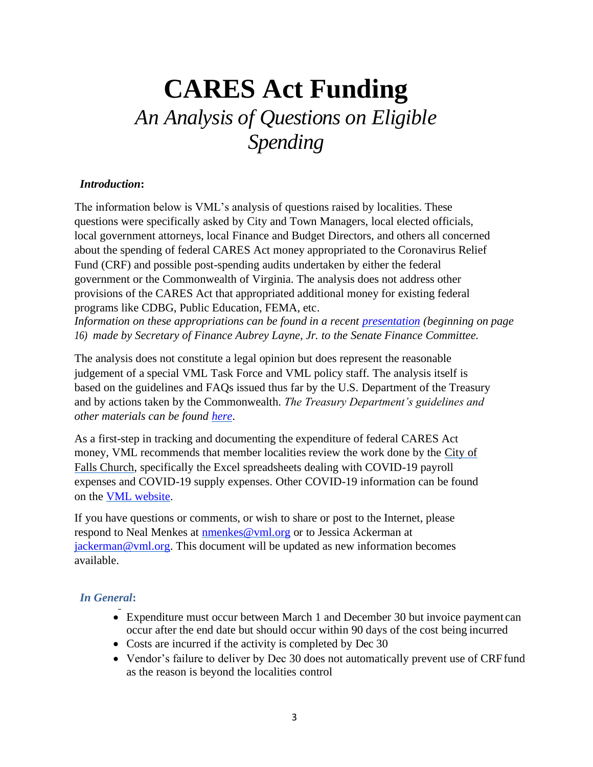# **CARES Act Funding** *An Analysis of Questions on Eligible Spending*

#### <span id="page-2-0"></span>*Introduction***:**

The information below is VML's analysis of questions raised by localities. These questions were specifically asked by City and Town Managers, local elected officials, local government attorneys, local Finance and Budget Directors, and others all concerned about the spending of federal CARES Act money appropriated to the Coronavirus Relief Fund (CRF) and possible post-spending audits undertaken by either the federal government or the Commonwealth of Virginia. The analysis does not address other provisions of the CARES Act that appropriated additional money for existing federal programs like CDBG, Public Education, FEMA, etc.

*Information on these appropriations can be found in a recent [presentation](http://sfc.virginia.gov/pdf/committee_meeting_presentations/2020/Interim/051920_No1_SOF.pdf) (beginning on page 16) made by Secretary of Finance Aubrey Layne, Jr. to the Senate Finance Committee.*

The analysis does not constitute a legal opinion but does represent the reasonable judgement of a special VML Task Force and VML policy staff. The analysis itself is based on the guidelines and FAQs issued thus far by the U.S. Department of the Treasury and by actions taken by the Commonwealth. *The Treasury Department's guidelines and other materials can be found [here](https://home.treasury.gov/policy-issues/cares/state-and-local-governments)*.

As a first-step in tracking and documenting the expenditure of federal CARES Act money, VML recommends that member localities review the work done by the City of Falls Church, specifically the Excel spreadsheets dealing with COVID-19 payroll expenses and COVID-19 supply expenses. Other COVID-19 information can be found on the [VML website.](https://www.vml.org/coronavirus-resources/)

If you have questions or comments, or wish to share or post to the Internet, please respond to Neal Menkes at **[nmenkes@vml.org](mailto:nmenkes@vml.org)** or to Jessica Ackerman at [jackerman@vml.org.](mailto:jackerman@vml.org) This document will be updated as new information becomes available.

#### <span id="page-2-1"></span>*In General***:**

- Expenditure must occur between March 1 and December 30 but invoice payment can occur after the end date but should occur within 90 days of the cost being incurred
- Costs are incurred if the activity is completed by Dec 30
- Vendor's failure to deliver by Dec 30 does not automatically prevent use of CRF fund as the reason is beyond the localities control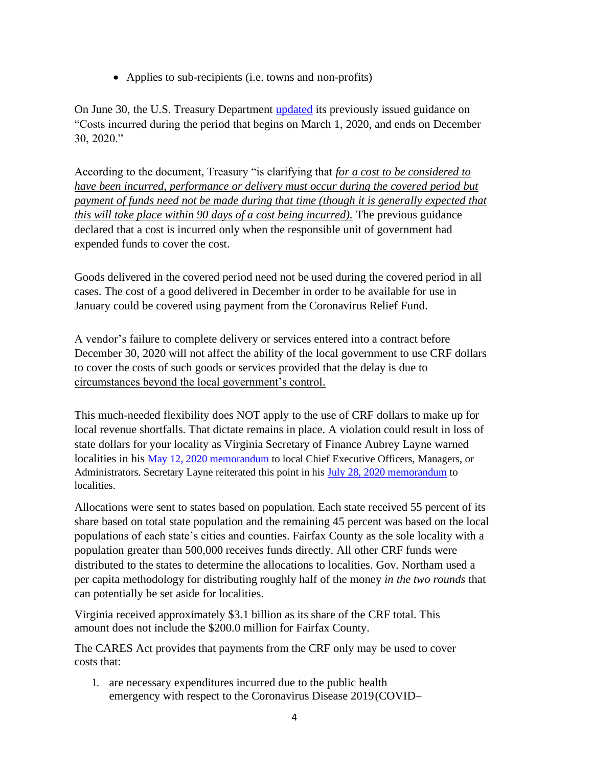• Applies to sub-recipients (i.e. towns and non-profits)

On June 30, the U.S. Treasury Department [updated](https://home.treasury.gov/system/files/136/Coronavirus-Relief-Fund-Guidance-for-State-Territorial-Local-and-Tribal-Governments.pdf) its previously issued guidance on "Costs incurred during the period that begins on March 1, 2020, and ends on December 30, 2020."

According to the document, Treasury "is clarifying that *for a cost to be considered to have been incurred, performance or delivery must occur during the covered period but payment of funds need not be made during that time (though it is generally expected that this will take place within 90 days of a cost being incurred).* The previous guidance declared that a cost is incurred only when the responsible unit of government had expended funds to cover the cost.

Goods delivered in the covered period need not be used during the covered period in all cases. The cost of a good delivered in December in order to be available for use in January could be covered using payment from the Coronavirus Relief Fund.

A vendor's failure to complete delivery or services entered into a contract before December 30, 2020 will not affect the ability of the local government to use CRF dollars to cover the costs of such goods or services provided that the delay is due to circumstances beyond the local government's control.

This much-needed flexibility does NOT apply to the use of CRF dollars to make up for local revenue shortfalls. That dictate remains in place. A violation could result in loss of state dollars for your locality as Virginia Secretary of Finance Aubrey Layne warned localities in his [May 12, 2020 memorandum](https://www.finance.virginia.gov/media/governorvirginiagov/secretary-of-finance/pdf/SOF--Memo-to-Localities-5_12_20.pdf) to local Chief Executive Officers, Managers, or Administrators. Secretary Layne reiterated this point in his [July 28, 2020 memorandum](https://www.governor.virginia.gov/media/governorvirginiagov/secretary-of-finance/pdf/SOF--Memo-to-Localities---2nd-Round---07_28_20.pdf) to localities.

Allocations were sent to states based on population. Each state received 55 percent of its share based on total state population and the remaining 45 percent was based on the local populations of each state's cities and counties. Fairfax County as the sole locality with a population greater than 500,000 receives funds directly. All other CRF funds were distributed to the states to determine the allocations to localities. Gov. Northam used a per capita methodology for distributing roughly half of the money *in the two rounds* that can potentially be set aside for localities.

Virginia received approximately \$3.1 billion as its share of the CRF total. This amount does not include the \$200.0 million for Fairfax County.

The CARES Act provides that payments from the CRF only may be used to cover costs that:

1. are necessary expenditures incurred due to the public health emergency with respect to the Coronavirus Disease 2019(COVID–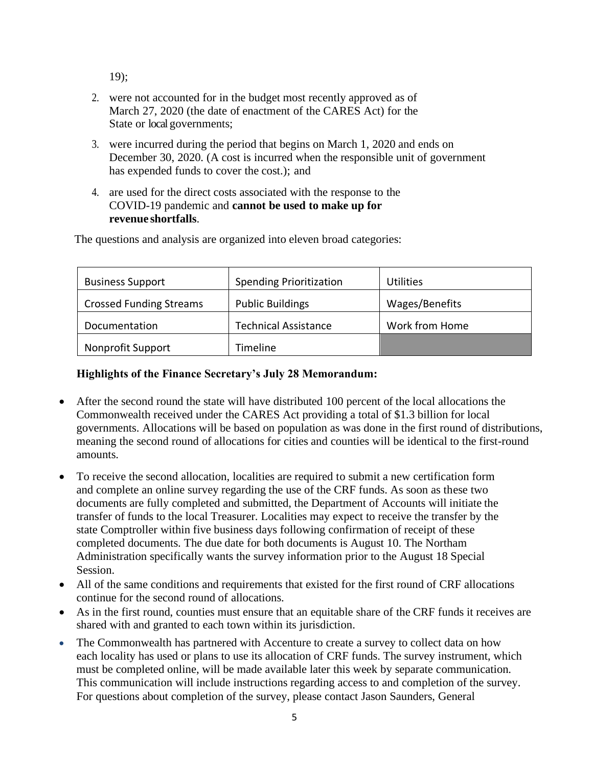19);

- 2. were not accounted for in the budget most recently approved as of March 27, 2020 (the date of enactment of the CARES Act) for the State or local governments;
- 3. were incurred during the period that begins on March 1, 2020 and ends on December 30, 2020. (A cost is incurred when the responsible unit of government has expended funds to cover the cost.); and
- 4. are used for the direct costs associated with the response to the COVID-19 pandemic and **cannot be used to make up for revenue shortfalls**.

| <b>Business Support</b>        | <b>Spending Prioritization</b> | <b>Utilities</b> |
|--------------------------------|--------------------------------|------------------|
| <b>Crossed Funding Streams</b> | <b>Public Buildings</b>        | Wages/Benefits   |
| Documentation                  | <b>Technical Assistance</b>    | Work from Home   |
| Nonprofit Support              | Timeline                       |                  |

The questions and analysis are organized into eleven broad categories:

#### **Highlights of the Finance Secretary's July 28 Memorandum:**

- <span id="page-4-0"></span>• After the second round the state will have distributed 100 percent of the local allocations the Commonwealth received under the CARES Act providing a total of \$1.3 billion for local governments. Allocations will be based on population as was done in the first round of distributions, meaning the second round of allocations for cities and counties will be identical to the first-round amounts.
- To receive the second allocation, localities are required to submit a new certification form and complete an online survey regarding the use of the CRF funds. As soon as these two documents are fully completed and submitted, the Department of Accounts will initiate the transfer of funds to the local Treasurer. Localities may expect to receive the transfer by the state Comptroller within five business days following confirmation of receipt of these completed documents. The due date for both documents is August 10. The Northam Administration specifically wants the survey information prior to the August 18 Special Session.
- All of the same conditions and requirements that existed for the first round of CRF allocations continue for the second round of allocations.
- As in the first round, counties must ensure that an equitable share of the CRF funds it receives are shared with and granted to each town within its jurisdiction.
- The Commonwealth has partnered with Accenture to create a survey to collect data on how each locality has used or plans to use its allocation of CRF funds. The survey instrument, which must be completed online, will be made available later this week by separate communication. This communication will include instructions regarding access to and completion of the survey. For questions about completion of the survey, please contact Jason Saunders, General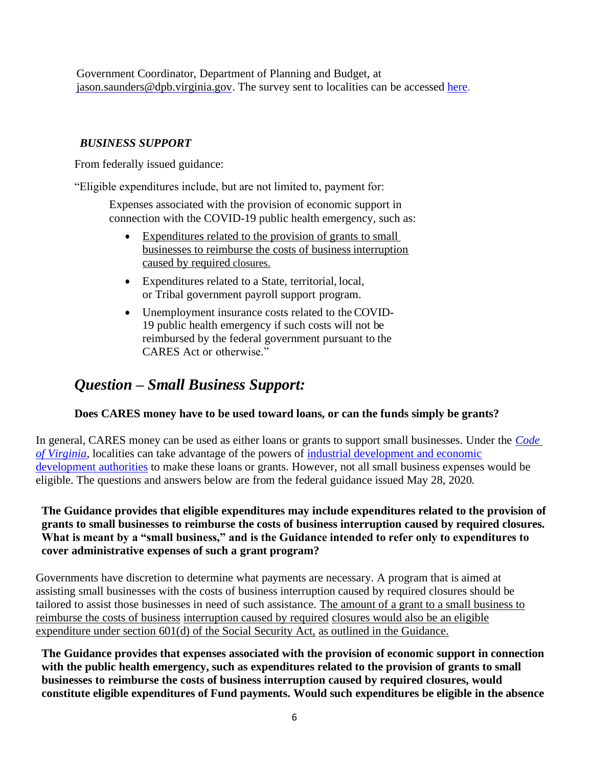Government Coordinator, Department of Planning and Budget, at [jason.saunders@dpb.virginia.gov.](mailto:jason.saunders@dpb.virginia.gov) The survey sent to localities can be accessed [here.](https://dpb.virginia.gov/forms/20200731-1/VADPBLocalGovernmentSurveyQuestions-7-31-2020.pdf)

#### <span id="page-5-0"></span>*BUSINESS SUPPORT*

From federally issued guidance:

"Eligible expenditures include, but are not limited to, payment for:

Expenses associated with the provision of economic support in connection with the COVID-19 public health emergency, such as:

- Expenditures related to the provision of grants to small businesses to reimburse the costs of business interruption caused by required closures.
- Expenditures related to a State, territorial, local, or Tribal government payroll support program.
- Unemployment insurance costs related to the COVID-19 public health emergency if such costs will not be reimbursed by the federal government pursuant to the CARES Act or otherwise."

# <span id="page-5-1"></span>*Question – Small Business Support:*

#### **Does CARES money have to be used toward loans, or can the funds simply be grants?**

In general, CARES money can be used as either loans or grants to support small businesses. Under the *[Code](https://law.lis.virginia.gov/vacode/title15.2/chapter49/section15.2-4905/)  [of Virginia,](https://law.lis.virginia.gov/vacode/title15.2/chapter49/section15.2-4905/)* localities can take advantage of the powers of [industrial development and economic](https://law.lis.virginia.gov/vacode/title15.2/chapter49/section15.2-4905/) [development authorities](https://law.lis.virginia.gov/vacode/title15.2/chapter49/section15.2-4905/) to make these loans or grants. However, not all small business expenses would be eligible. The questions and answers below are from the federal guidance issued May 28, 2020.

#### **The Guidance provides that eligible expenditures may include expenditures related to the provision of grants to small businesses to reimburse the costs of business interruption caused by required closures. What is meant by a "small business," and is the Guidance intended to refer only to expenditures to cover administrative expenses of such a grant program?**

Governments have discretion to determine what payments are necessary. A program that is aimed at assisting small businesses with the costs of business interruption caused by required closures should be tailored to assist those businesses in need of such assistance. The amount of a grant to a small business to reimburse the costs of business interruption caused by required closures would also be an eligible expenditure under section 601(d) of the Social Security Act, as outlined in the Guidance.

**The Guidance provides that expenses associated with the provision of economic support in connection with the public health emergency, such as expenditures related to the provision of grants to small businesses to reimburse the costs of business interruption caused by required closures, would constitute eligible expenditures of Fund payments. Would such expenditures be eligible in the absence**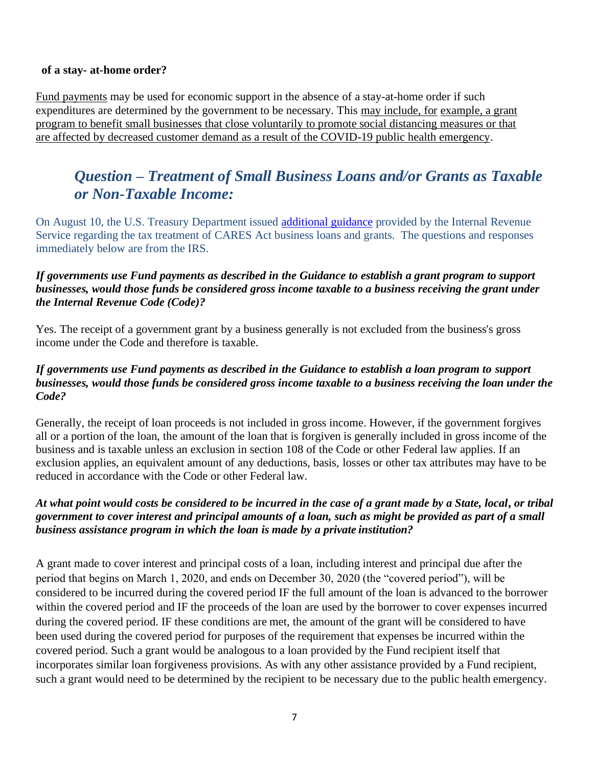#### **of a stay- at-home order?**

Fund payments may be used for economic support in the absence of a stay-at-home order if such expenditures are determined by the government to be necessary. This may include, for example, a grant program to benefit small businesses that close voluntarily to promote social distancing measures or that are affected by decreased customer demand as a result of the COVID-19 public health emergency.

# <span id="page-6-0"></span>*Question – Treatment of Small Business Loans and/or Grants as Taxable or Non-Taxable Income:*

On August 10, the U.S. Treasury Department issued [additional guidance](https://www.irs.gov/newsroom/cares-act-coronavirus-relief-fund-frequently-asked-questions) provided by the Internal Revenue Service regarding the tax treatment of CARES Act business loans and grants. The questions and responses immediately below are from the IRS.

#### *If governments use Fund payments as described in the Guidance to establish a grant program to support businesses, would those funds be considered gross income taxable to a business receiving the grant under the Internal Revenue Code (Code)?*

Yes. The receipt of a government grant by a business generally is not excluded from the business's gross income under the Code and therefore is taxable.

#### *If governments use Fund payments as described in the Guidance to establish a loan program to support businesses, would those funds be considered gross income taxable to a business receiving the loan under the Code?*

Generally, the receipt of loan proceeds is not included in gross income. However, if the government forgives all or a portion of the loan, the amount of the loan that is forgiven is generally included in gross income of the business and is taxable unless an exclusion in section 108 of the Code or other Federal law applies. If an exclusion applies, an equivalent amount of any deductions, basis, losses or other tax attributes may have to be reduced in accordance with the Code or other Federal law.

#### *At what point would costs be considered to be incurred in the case of a grant made by a State, local***,** *or tribal government to cover interest and principal amounts of a loan, such as might be provided as part of a small business assistance program in which the loan is made by a private institution?*

A grant made to cover interest and principal costs of a loan, including interest and principal due after the period that begins on March 1, 2020, and ends on December 30, 2020 (the "covered period"), will be considered to be incurred during the covered period IF the full amount of the loan is advanced to the borrower within the covered period and IF the proceeds of the loan are used by the borrower to cover expenses incurred during the covered period. IF these conditions are met, the amount of the grant will be considered to have been used during the covered period for purposes of the requirement that expenses be incurred within the covered period. Such a grant would be analogous to a loan provided by the Fund recipient itself that incorporates similar loan forgiveness provisions. As with any other assistance provided by a Fund recipient, such a grant would need to be determined by the recipient to be necessary due to the public health emergency.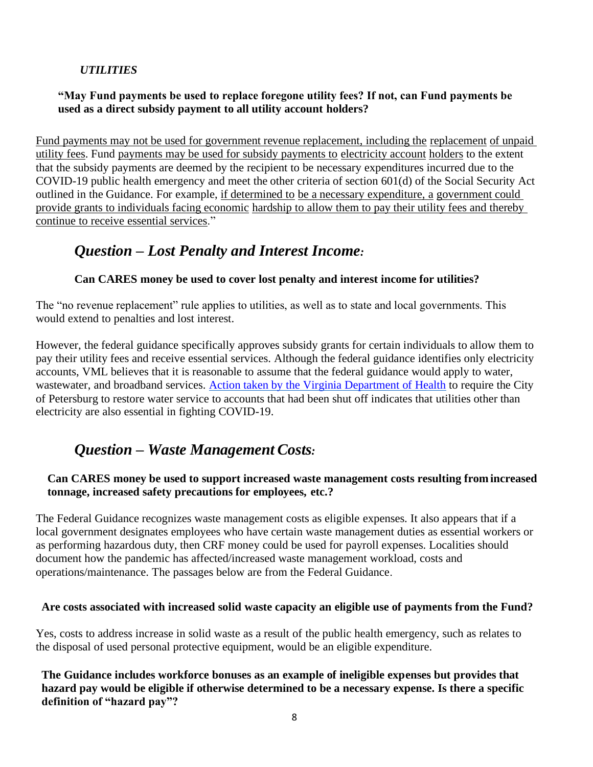#### *UTILITIES*

#### <span id="page-7-0"></span>**"May Fund payments be used to replace foregone utility fees? If not, can Fund payments be used as a direct subsidy payment to all utility account holders?**

Fund payments may not be used for government revenue replacement, including the replacement of unpaid utility fees. Fund payments may be used for subsidy payments to electricity account holders to the extent that the subsidy payments are deemed by the recipient to be necessary expenditures incurred due to the COVID-19 public health emergency and meet the other criteria of section 601(d) of the Social Security Act outlined in the Guidance. For example, if determined to be a necessary expenditure, a government could provide grants to individuals facing economic hardship to allow them to pay their utility fees and thereby continue to receive essential services."

# <span id="page-7-1"></span>*Question – Lost Penalty and Interest Income:*

#### **Can CARES money be used to cover lost penalty and interest income for utilities?**

The "no revenue replacement" rule applies to utilities, as well as to state and local governments. This would extend to penalties and lost interest.

However, the federal guidance specifically approves subsidy grants for certain individuals to allow them to pay their utility fees and receive essential services. Although the federal guidance identifies only electricity accounts, VML believes that it is reasonable to assume that the federal guidance would apply to water, wastewater, and broadband services. Action taken by the Virginia Department of Health to require the City of Petersburg to restore water service to accounts that had been shut off indicates that utilities other than electricity are also essential in fighting COVID-19.

# <span id="page-7-2"></span>*Question – Waste Management Costs:*

#### **Can CARES money be used to support increased waste management costs resulting fromincreased tonnage, increased safety precautions for employees, etc.?**

The Federal Guidance recognizes waste management costs as eligible expenses. It also appears that if a local government designates employees who have certain waste management duties as essential workers or as performing hazardous duty, then CRF money could be used for payroll expenses. Localities should document how the pandemic has affected/increased waste management workload, costs and operations/maintenance. The passages below are from the Federal Guidance.

#### **Are costs associated with increased solid waste capacity an eligible use of payments from the Fund?**

Yes, costs to address increase in solid waste as a result of the public health emergency, such as relates to the disposal of used personal protective equipment, would be an eligible expenditure.

**The Guidance includes workforce bonuses as an example of ineligible expenses but provides that hazard pay would be eligible if otherwise determined to be a necessary expense. Is there a specific definition of "hazard pay"?**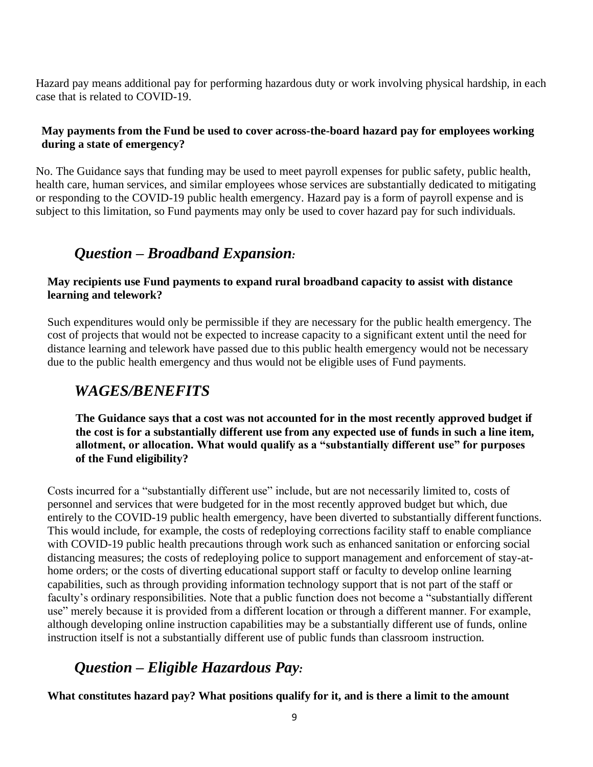Hazard pay means additional pay for performing hazardous duty or work involving physical hardship, in each case that is related to COVID-19.

#### **May payments from the Fund be used to cover across-the-board hazard pay for employees working during a state of emergency?**

No. The Guidance says that funding may be used to meet payroll expenses for public safety, public health, health care, human services, and similar employees whose services are substantially dedicated to mitigating or responding to the COVID-19 public health emergency. Hazard pay is a form of payroll expense and is subject to this limitation, so Fund payments may only be used to cover hazard pay for such individuals.

# *Question – Broadband Expansion:*

#### <span id="page-8-0"></span>**May recipients use Fund payments to expand rural broadband capacity to assist with distance learning and telework?**

Such expenditures would only be permissible if they are necessary for the public health emergency. The cost of projects that would not be expected to increase capacity to a significant extent until the need for distance learning and telework have passed due to this public health emergency would not be necessary due to the public health emergency and thus would not be eligible uses of Fund payments.

# <span id="page-8-1"></span>*WAGES/BENEFITS*

**The Guidance says that a cost was not accounted for in the most recently approved budget if the cost is for a substantially different use from any expected use of funds in such a line item, allotment, or allocation. What would qualify as a "substantially different use" for purposes of the Fund eligibility?**

Costs incurred for a "substantially different use" include, but are not necessarily limited to, costs of personnel and services that were budgeted for in the most recently approved budget but which, due entirely to the COVID-19 public health emergency, have been diverted to substantially different functions. This would include, for example, the costs of redeploying corrections facility staff to enable compliance with COVID-19 public health precautions through work such as enhanced sanitation or enforcing social distancing measures; the costs of redeploying police to support management and enforcement of stay-athome orders; or the costs of diverting educational support staff or faculty to develop online learning capabilities, such as through providing information technology support that is not part of the staff or faculty's ordinary responsibilities. Note that a public function does not become a "substantially different use" merely because it is provided from a different location or through a different manner. For example, although developing online instruction capabilities may be a substantially different use of funds, online instruction itself is not a substantially different use of public funds than classroom instruction.

# *Question – Eligible Hazardous Pay:*

<span id="page-8-2"></span>**What constitutes hazard pay? What positions qualify for it, and is there a limit to the amount**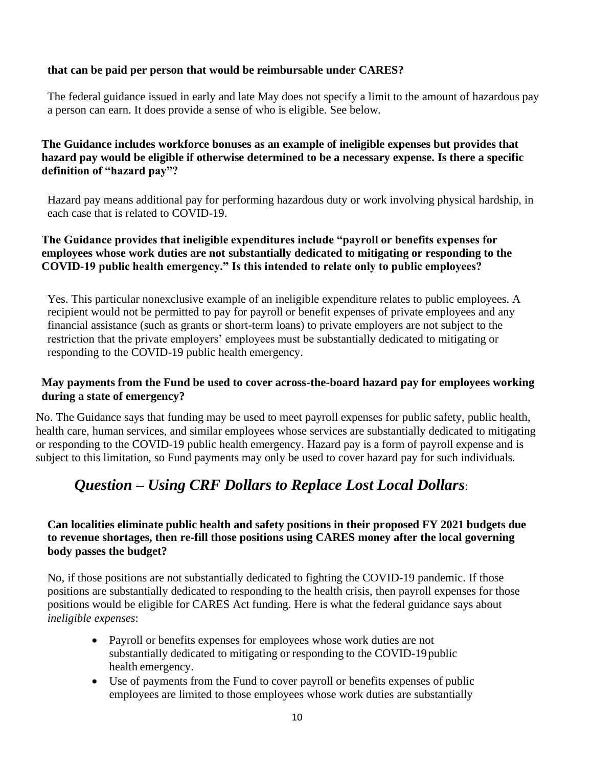#### **that can be paid per person that would be reimbursable under CARES?**

The federal guidance issued in early and late May does not specify a limit to the amount of hazardous pay a person can earn. It does provide a sense of who is eligible. See below.

#### **The Guidance includes workforce bonuses as an example of ineligible expenses but provides that hazard pay would be eligible if otherwise determined to be a necessary expense. Is there a specific definition of "hazard pay"?**

Hazard pay means additional pay for performing hazardous duty or work involving physical hardship, in each case that is related to COVID-19.

#### **The Guidance provides that ineligible expenditures include "payroll or benefits expenses for employees whose work duties are not substantially dedicated to mitigating or responding to the COVID-19 public health emergency." Is this intended to relate only to public employees?**

Yes. This particular nonexclusive example of an ineligible expenditure relates to public employees. A recipient would not be permitted to pay for payroll or benefit expenses of private employees and any financial assistance (such as grants or short-term loans) to private employers are not subject to the restriction that the private employers' employees must be substantially dedicated to mitigating or responding to the COVID-19 public health emergency.

#### **May payments from the Fund be used to cover across-the-board hazard pay for employees working during a state of emergency?**

No. The Guidance says that funding may be used to meet payroll expenses for public safety, public health, health care, human services, and similar employees whose services are substantially dedicated to mitigating or responding to the COVID-19 public health emergency. Hazard pay is a form of payroll expense and is subject to this limitation, so Fund payments may only be used to cover hazard pay for such individuals.

# <span id="page-9-0"></span>*Question – Using CRF Dollars to Replace Lost Local Dollars*:

#### **Can localities eliminate public health and safety positions in their proposed FY 2021 budgets due to revenue shortages, then re-fill those positions using CARES money after the local governing body passes the budget?**

No, if those positions are not substantially dedicated to fighting the COVID-19 pandemic. If those positions are substantially dedicated to responding to the health crisis, then payroll expenses for those positions would be eligible for CARES Act funding. Here is what the federal guidance says about *ineligible expenses*:

- Payroll or benefits expenses for employees whose work duties are not substantially dedicated to mitigating or responding to the COVID-19public health emergency.
- Use of payments from the Fund to cover payroll or benefits expenses of public employees are limited to those employees whose work duties are substantially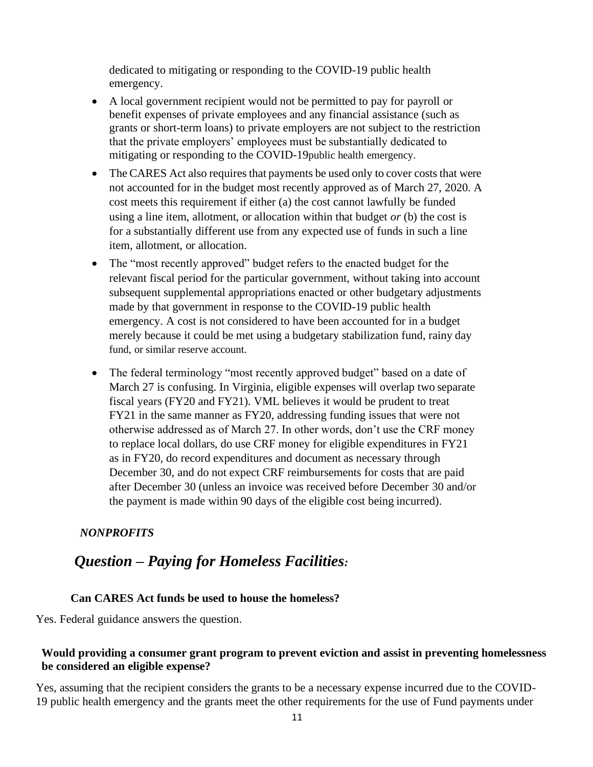dedicated to mitigating or responding to the COVID-19 public health emergency.

- A local government recipient would not be permitted to pay for payroll or benefit expenses of private employees and any financial assistance (such as grants or short-term loans) to private employers are not subject to the restriction that the private employers' employees must be substantially dedicated to mitigating or responding to the COVID-19public health emergency.
- The CARES Act also requires that payments be used only to cover costs that were not accounted for in the budget most recently approved as of March 27, 2020. A cost meets this requirement if either (a) the cost cannot lawfully be funded using a line item, allotment, or allocation within that budget *or* (b) the cost is for a substantially different use from any expected use of funds in such a line item, allotment, or allocation.
- The "most recently approved" budget refers to the enacted budget for the relevant fiscal period for the particular government, without taking into account subsequent supplemental appropriations enacted or other budgetary adjustments made by that government in response to the COVID-19 public health emergency. A cost is not considered to have been accounted for in a budget merely because it could be met using a budgetary stabilization fund, rainy day fund, or similar reserve account.
- The federal terminology "most recently approved budget" based on a date of March 27 is confusing. In Virginia, eligible expenses will overlap two separate fiscal years (FY20 and FY21). VML believes it would be prudent to treat FY21 in the same manner as FY20, addressing funding issues that were not otherwise addressed as of March 27. In other words, don't use the CRF money to replace local dollars, do use CRF money for eligible expenditures in FY21 as in FY20, do record expenditures and document as necessary through December 30, and do not expect CRF reimbursements for costs that are paid after December 30 (unless an invoice was received before December 30 and/or the payment is made within 90 days of the eligible cost being incurred).

#### <span id="page-10-0"></span>*NONPROFITS*

## <span id="page-10-1"></span>*Question – Paying for Homeless Facilities:*

#### **Can CARES Act funds be used to house the homeless?**

Yes. Federal guidance answers the question.

#### **Would providing a consumer grant program to prevent eviction and assist in preventing homelessness be considered an eligible expense?**

Yes, assuming that the recipient considers the grants to be a necessary expense incurred due to the COVID-19 public health emergency and the grants meet the other requirements for the use of Fund payments under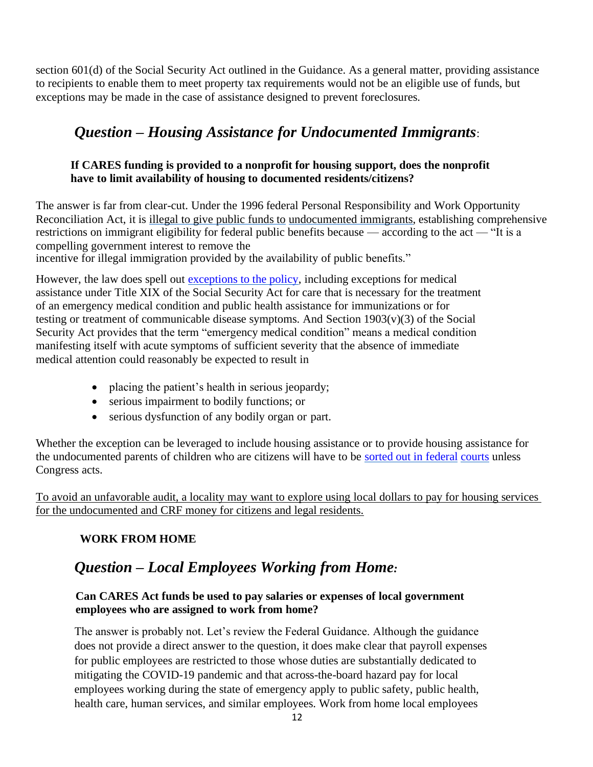section 601(d) of the Social Security Act outlined in the Guidance. As a general matter, providing assistance to recipients to enable them to meet property tax requirements would not be an eligible use of funds, but exceptions may be made in the case of assistance designed to prevent foreclosures.

# <span id="page-11-0"></span>*Question – Housing Assistance for Undocumented Immigrants*:

#### **If CARES funding is provided to a nonprofit for housing support, does the nonprofit have to limit availability of housing to documented residents/citizens?**

The answer is far from clear-cut. Under the 1996 federal Personal Responsibility and Work Opportunity Reconciliation Act, it is illegal to give public funds to undocumented immigrants, establishing comprehensive restrictions on immigrant eligibility for federal public benefits because — according to the act — "It is a compelling government interest to remove the

incentive for illegal immigration provided by the availability of public benefits."

However, the law does spell out [exceptions to the policy, i](https://thehill.com/opinion/immigration/498937-undocumented-immigrants-may-be-eligible-for-federal-covid-care-but-a)ncluding exceptions for medical assistance under Title XIX of the Social Security Act for care that is necessary [for the treatment](https://www.ssa.gov/OP_Home/ssact/title19/1903.htm)  [of an emergency medical condition and public health assistance for](https://www.ssa.gov/OP_Home/ssact/title19/1903.htm) [immunizations or for](https://www.ssa.gov/OP_Home/ssact/title19/1903.htm)  [testing or treatment of communicable disease symptoms. And](https://www.ssa.gov/OP_Home/ssact/title19/1903.htm) Section  $1903(v)(3)$  of the Social [Security Act provides that the term "emergency medical](https://www.ssa.gov/OP_Home/ssact/title19/1903.htm) [condition" means a medical condition](https://www.ssa.gov/OP_Home/ssact/title19/1903.htm)  [manifesting itself with acute symptoms of](https://www.ssa.gov/OP_Home/ssact/title19/1903.htm) sufficient severity that the absence of immediate medical attention could reasonably be expected to result in

- placing the patient's health in serious jeopardy;
- serious impairment to bodily functions; or
- serious dysfunction of any bodily organ or part.

Whether the exception can be leveraged to include housing assistance or to provide housing assistance for the undocumented parents of children who are citizens will have to be [sorted out in federal](https://www.npr.org/2020/05/05/850770390/lawsuit-alleges-cares-act-excludes-u-s-citizen-children-of-undocumented-immigran) [courts](https://www.npr.org/2020/05/05/850770390/lawsuit-alleges-cares-act-excludes-u-s-citizen-children-of-undocumented-immigran) unless [Congress acts.](https://www.npr.org/2020/05/05/850770390/lawsuit-alleges-cares-act-excludes-u-s-citizen-children-of-undocumented-immigran)

<span id="page-11-1"></span>To avoid an unfavorable audit, a locality may want to explore using local dollars to pay for housing services for the undocumented and CRF money for citizens and legal residents.

#### **WORK FROM HOME**

# <span id="page-11-2"></span>*Question – Local Employees Working from Home:*

#### **Can CARES Act funds be used to pay salaries or expenses of local government employees who are assigned to work from home?**

The answer is probably not. Let's review the Federal Guidance. Although the guidance does not provide a direct answer to the question, it does make clear that payroll expenses for public employees are restricted to those whose duties are substantially dedicated to mitigating the COVID-19 pandemic and that across-the-board hazard pay for local employees working during the state of emergency apply to public safety, public health, health care, human services, and similar employees. Work from home local employees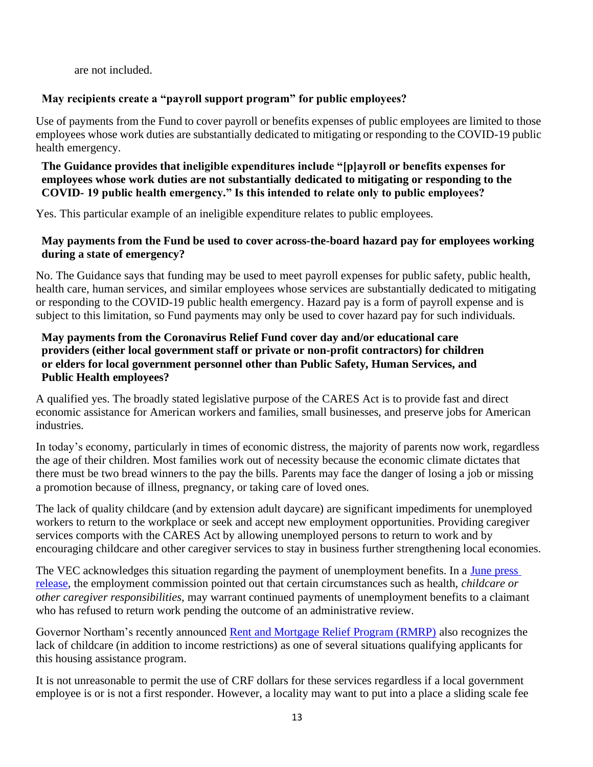are not included.

#### **May recipients create a "payroll support program" for public employees?**

Use of payments from the Fund to cover payroll or benefits expenses of public employees are limited to those employees whose work duties are substantially dedicated to mitigating or responding to the COVID-19 public health emergency.

#### **The Guidance provides that ineligible expenditures include "[p]ayroll or benefits expenses for employees whose work duties are not substantially dedicated to mitigating or responding to the COVID- 19 public health emergency." Is this intended to relate only to public employees?**

Yes. This particular example of an ineligible expenditure relates to public employees.

#### **May payments from the Fund be used to cover across-the-board hazard pay for employees working during a state of emergency?**

No. The Guidance says that funding may be used to meet payroll expenses for public safety, public health, health care, human services, and similar employees whose services are substantially dedicated to mitigating or responding to the COVID-19 public health emergency. Hazard pay is a form of payroll expense and is subject to this limitation, so Fund payments may only be used to cover hazard pay for such individuals.

#### **May payments from the Coronavirus Relief Fund cover day and/or educational care providers (either local government staff or private or non-profit contractors) for children or elders for local government personnel other than Public Safety, Human Services, and Public Health employees?**

A qualified yes. The broadly stated legislative purpose of the CARES Act is to provide fast and direct economic assistance for American workers and families, small businesses, and preserve jobs for American industries.

In today's economy, particularly in times of economic distress, the majority of parents now work, regardless the age of their children. Most families work out of necessity because the economic climate dictates that there must be two bread winners to the pay the bills. Parents may face the danger of losing a job or missing a promotion because of illness, pregnancy, or taking care of loved ones.

The lack of quality childcare (and by extension adult daycare) are significant impediments for unemployed workers to return to the workplace or seek and accept new employment opportunities. Providing caregiver services comports with the CARES Act by allowing unemployed persons to return to work and by encouraging childcare and other caregiver services to stay in business further strengthening local economies.

The VEC acknowledges this situation regarding the payment of unemployment benefits. In a June press [release, t](https://www.vec.virginia.gov/node/11997)he employment commission pointed out that certain circumstances such as health, *childcare or other caregiver responsibilities*, may warrant continued payments of unemployment benefits to a claimant who has refused to return work pending the outcome of an administrative review.

Governor Northam's recently announced [Rent and Mortgage Relief Program \(RMRP\)](https://www.dhcd.virginia.gov/governor-northam-launches-rent-and-mortgage-relief-program-assist-virginians-facing-eviction-or) also recognizes the lack of childcare (in addition to income restrictions) as one of several situations qualifying applicants for this housing assistance program.

It is not unreasonable to permit the use of CRF dollars for these services regardless if a local government employee is or is not a first responder. However, a locality may want to put into a place a sliding scale fee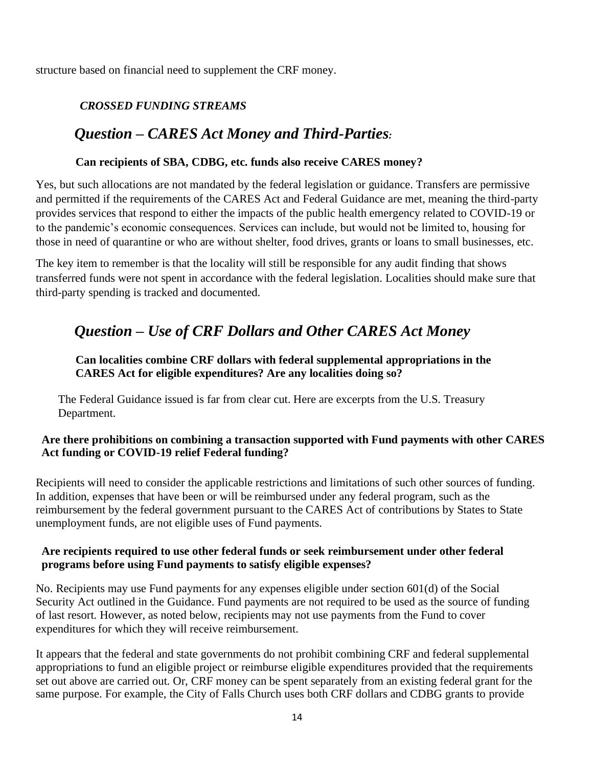<span id="page-13-0"></span>structure based on financial need to supplement the CRF money.

#### *CROSSED FUNDING STREAMS*

### <span id="page-13-1"></span>*Question – CARES Act Money and Third-Parties:*

#### **Can recipients of SBA, CDBG, etc. funds also receive CARES money?**

Yes, but such allocations are not mandated by the federal legislation or guidance. Transfers are permissive and permitted if the requirements of the CARES Act and Federal Guidance are met, meaning the third-party provides services that respond to either the impacts of the public health emergency related to COVID-19 or to the pandemic's economic consequences. Services can include, but would not be limited to, housing for those in need of quarantine or who are without shelter, food drives, grants or loans to small businesses, etc.

The key item to remember is that the locality will still be responsible for any audit finding that shows transferred funds were not spent in accordance with the federal legislation. Localities should make sure that third-party spending is tracked and documented.

# <span id="page-13-2"></span>*Question – Use of CRF Dollars and Other CARES Act Money*

#### **Can localities combine CRF dollars with federal supplemental appropriations in the CARES Act for eligible expenditures? Are any localities doing so?**

The Federal Guidance issued is far from clear cut. Here are excerpts from the U.S. Treasury Department.

#### **Are there prohibitions on combining a transaction supported with Fund payments with other CARES Act funding or COVID-19 relief Federal funding?**

Recipients will need to consider the applicable restrictions and limitations of such other sources of funding. In addition, expenses that have been or will be reimbursed under any federal program, such as the reimbursement by the federal government pursuant to the CARES Act of contributions by States to State unemployment funds, are not eligible uses of Fund payments.

#### **Are recipients required to use other federal funds or seek reimbursement under other federal programs before using Fund payments to satisfy eligible expenses?**

No. Recipients may use Fund payments for any expenses eligible under section 601(d) of the Social Security Act outlined in the Guidance. Fund payments are not required to be used as the source of funding of last resort. However, as noted below, recipients may not use payments from the Fund to cover expenditures for which they will receive reimbursement.

It appears that the federal and state governments do not prohibit combining CRF and federal supplemental appropriations to fund an eligible project or reimburse eligible expenditures provided that the requirements set out above are carried out. Or, CRF money can be spent separately from an existing federal grant for the same purpose. For example, the City of Falls Church uses both CRF dollars and CDBG grants to provide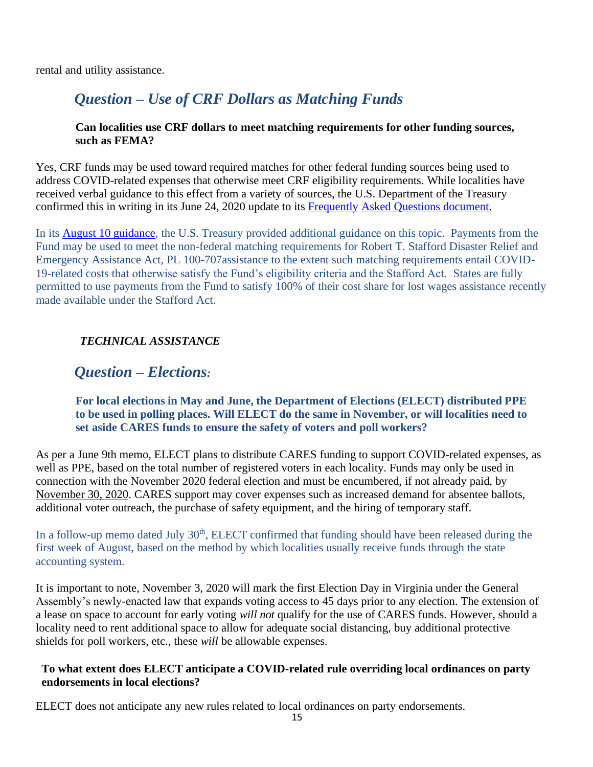<span id="page-14-0"></span>rental and utility assistance.

# *Question – Use of CRF Dollars as Matching Funds*

#### **Can localities use CRF dollars to meet matching requirements for other funding sources, such as FEMA?**

Yes, CRF funds may be used toward required matches for other federal funding sources being used to address COVID-related expenses that otherwise meet CRF eligibility requirements. While localities have received verbal guidance to this effect from a variety of sources, the U.S. Department of the Treasury confirmed this in writing in its June 24, 2020 update to its [Frequently](https://home.treasury.gov/system/files/136/Coronavirus-Relief-Fund-Frequently-Asked-Questions.pdf) [Asked Questions document.](https://home.treasury.gov/system/files/136/Coronavirus-Relief-Fund-Frequently-Asked-Questions.pdf)

In its [August 10 guidance,](https://home.treasury.gov/system/files/136/Coronavirus-Relief-Fund-Frequently-Asked-Questions.pdf) the U.S. Treasury provided additional guidance on this topic. Payments from the Fund may be used to meet the non-federal matching requirements for Robert T. Stafford Disaster Relief and Emergency Assistance Act, PL 100-707assistance to the extent such matching requirements entail COVID-19-related costs that otherwise satisfy the Fund's eligibility criteria and the Stafford Act. States are fully permitted to use payments from the Fund to satisfy 100% of their cost share for lost wages assistance recently made available under the Stafford Act.

#### <span id="page-14-1"></span>*TECHNICAL ASSISTANCE*

## <span id="page-14-2"></span>*Question – Elections:*

#### **For local elections in May and June, the Department of Elections (ELECT) distributed PPE to be used in polling places. Will ELECT do the same in November, or will localities need to set aside CARES funds to ensure the safety of voters and poll workers?**

As per a June 9th memo, ELECT plans to distribute CARES funding to support COVID-related expenses, as well as PPE, based on the total number of registered voters in each locality. Funds may only be used in connection with the November 2020 federal election and must be encumbered, if not already paid, by November 30, 2020. CARES support may cover expenses such as increased demand for absentee ballots, additional voter outreach, the purchase of safety equipment, and the hiring of temporary staff.

In a follow-up memo dated July  $30<sup>th</sup>$ , ELECT confirmed that funding should have been released during the first week of August, based on the method by which localities usually receive funds through the state accounting system.

It is important to note, November 3, 2020 will mark the first Election Day in Virginia under the General Assembly's newly-enacted law that expands voting access to 45 days prior to any election. The extension of a lease on space to account for early voting *will not* qualify for the use of CARES funds. However, should a locality need to rent additional space to allow for adequate social distancing, buy additional protective shields for poll workers, etc., these *will* be allowable expenses.

#### **To what extent does ELECT anticipate a COVID-related rule overriding local ordinances on party endorsements in local elections?**

ELECT does not anticipate any new rules related to local ordinances on party endorsements.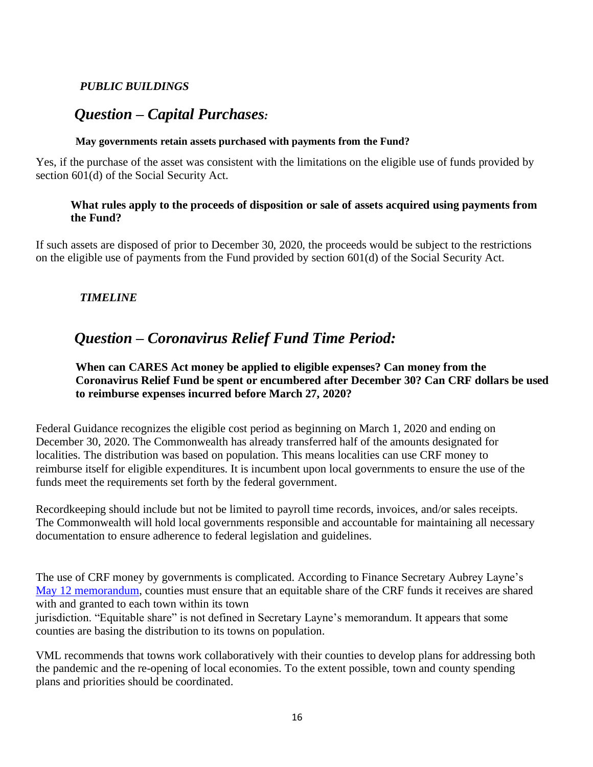#### <span id="page-15-0"></span>*PUBLIC BUILDINGS*

# <span id="page-15-1"></span>*Question – Capital Purchases:*

#### **May governments retain assets purchased with payments from the Fund?**

Yes, if the purchase of the asset was consistent with the limitations on the eligible use of funds provided by section 601(d) of the Social Security Act.

#### **What rules apply to the proceeds of disposition or sale of assets acquired using payments from the Fund?**

If such assets are disposed of prior to December 30, 2020, the proceeds would be subject to the restrictions on the eligible use of payments from the Fund provided by section 601(d) of the Social Security Act.

#### <span id="page-15-2"></span>*TIMELINE*

# <span id="page-15-3"></span>*Question – Coronavirus Relief Fund Time Period:*

#### **When can CARES Act money be applied to eligible expenses? Can money from the Coronavirus Relief Fund be spent or encumbered after December 30? Can CRF dollars be used to reimburse expenses incurred before March 27, 2020?**

Federal Guidance recognizes the eligible cost period as beginning on March 1, 2020 and ending on December 30, 2020. The Commonwealth has already transferred half of the amounts designated for localities. The distribution was based on population. This means localities can use CRF money to reimburse itself for eligible expenditures. It is incumbent upon local governments to ensure the use of the funds meet the requirements set forth by the federal government.

Recordkeeping should include but not be limited to payroll time records, invoices, and/or sales receipts. The Commonwealth will hold local governments responsible and accountable for maintaining all necessary documentation to ensure adherence to federal legislation and guidelines.

The use of CRF money by governments is complicated. According to Finance Secretary Aubrey Layne's [May 12 memorandum, c](https://www.finance.virginia.gov/media/governorvirginiagov/secretary-of-finance/pdf/SOF--Memo-to-Localities-5_12_20.pdf)ounties must ensure that an equitable share of the CRF funds it receives are shared with and granted to each town within its town

jurisdiction. "Equitable share" is not defined in Secretary Layne's memorandum. It appears that some counties are basing the distribution to its towns on population.

VML recommends that towns work collaboratively with their counties to develop plans for addressing both the pandemic and the re-opening of local economies. To the extent possible, town and county spending plans and priorities should be coordinated.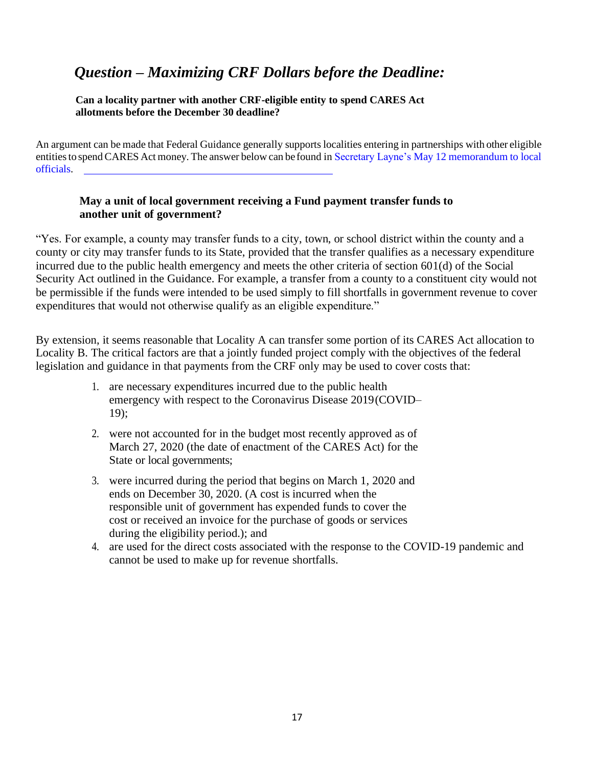# <span id="page-16-0"></span>*Question – Maximizing CRF Dollars before the Deadline:*

**Can a locality partner with another CRF-eligible entity to spend CARES Act allotments before the December 30 deadline?**

An argument can be made that Federal Guidance generally supports localities entering in partnerships with other eligible entities to spend CARES Act money. The answer below can be found in Secretary Layne's [May 12 memorandum to local](https://www.finance.virginia.gov/media/governorvirginiagov/secretary-of-finance/pdf/SOF--Memo-to-Localities-5_12_20.pdf) [officials.](https://www.finance.virginia.gov/media/governorvirginiagov/secretary-of-finance/pdf/SOF--Memo-to-Localities-5_12_20.pdf)

#### **May a unit of local government receiving a Fund payment transfer funds to another unit of government?**

"Yes. For example, a county may transfer funds to a city, town, or school district within the county and a county or city may transfer funds to its State, provided that the transfer qualifies as a necessary expenditure incurred due to the public health emergency and meets the other criteria of section 601(d) of the Social Security Act outlined in the Guidance. For example, a transfer from a county to a constituent city would not be permissible if the funds were intended to be used simply to fill shortfalls in government revenue to cover expenditures that would not otherwise qualify as an eligible expenditure."

By extension, it seems reasonable that Locality A can transfer some portion of its CARES Act allocation to Locality B. The critical factors are that a jointly funded project comply with the objectives of the federal legislation and guidance in that payments from the CRF only may be used to cover costs that:

- 1. are necessary expenditures incurred due to the public health emergency with respect to the Coronavirus Disease 2019(COVID– 19);
- 2. were not accounted for in the budget most recently approved as of March 27, 2020 (the date of enactment of the CARES Act) for the State or local governments;
- 3. were incurred during the period that begins on March 1, 2020 and ends on December 30, 2020. (A cost is incurred when the responsible unit of government has expended funds to cover the cost or received an invoice for the purchase of goods or services during the eligibility period.); and
- 4. are used for the direct costs associated with the response to the COVID-19 pandemic and cannot be used to make up for revenue shortfalls.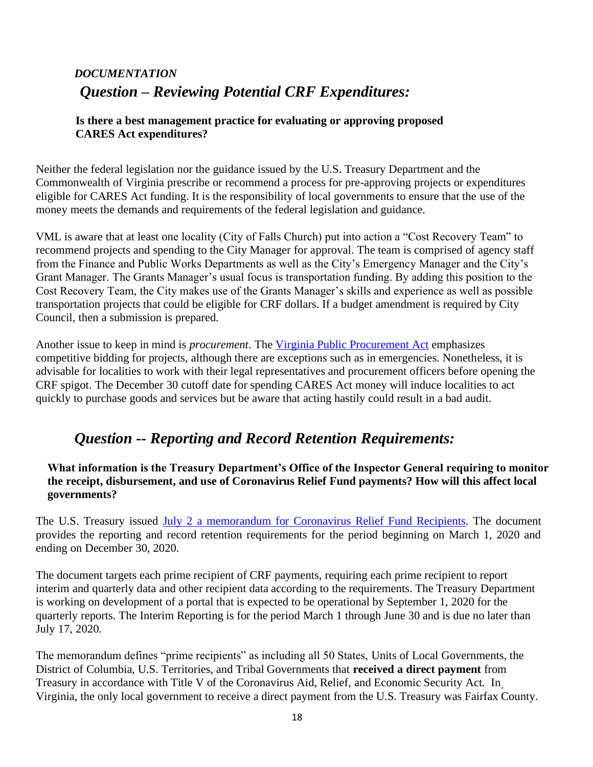# <span id="page-17-1"></span><span id="page-17-0"></span>*DOCUMENTATION Question – Reviewing Potential CRF Expenditures:*

#### **Is there a best management practice for evaluating or approving proposed CARES Act expenditures?**

Neither the federal legislation nor the guidance issued by the U.S. Treasury Department and the Commonwealth of Virginia prescribe or recommend a process for pre-approving projects or expenditures eligible for CARES Act funding. It is the responsibility of local governments to ensure that the use of the money meets the demands and requirements of the federal legislation and guidance.

VML is aware that at least one locality (City of Falls Church) put into action a "Cost Recovery Team" to recommend projects and spending to the City Manager for approval. The team is comprised of agency staff from the Finance and Public Works Departments as well as the City's Emergency Manager and the City's Grant Manager. The Grants Manager's usual focus is transportation funding. By adding this position to the Cost Recovery Team, the City makes use of the Grants Manager's skills and experience as well as possible transportation projects that could be eligible for CRF dollars. If a budget amendment is required by City Council, then a submission is prepared.

Another issue to keep in mind is *procurement*. The [Virginia Public Procurement Act](https://law.lis.virginia.gov/vacode/title2.2/chapter43/) emphasizes competitive bidding for projects, although there are exceptions such as in emergencies. Nonetheless, it is advisable for localities to work with their legal representatives and procurement officers before opening the CRF spigot. The December 30 cutoff date for spending CARES Act money will induce localities to act quickly to purchase goods and services but be aware that acting hastily could result in a bad audit.

# <span id="page-17-2"></span>*Question -- Reporting and Record Retention Requirements:*

**What information is the Treasury Department's Office of the Inspector General requiring to monitor the receipt, disbursement, and use of Coronavirus Relief Fund payments? How will this affect local governments?**

The U.S. Treasury issued [July 2 a memorandum for Coronavirus Relief Fund Recipients.](http://www.ncai.org/Covid-19/administrative/Treasury_Office_of_Inspector_General_Coronavirus_Relief_Fund_Recipient_Reporting_and_Record_Keeping_Requirements__-OIG-CA-20-021-_-003-_-004-.pdf) The document provides the reporting and record retention requirements for the period beginning on March 1, 2020 and ending on December 30, 2020.

The document targets each prime recipient of CRF payments, requiring each prime recipient to report interim and quarterly data and other recipient data according to the requirements. The Treasury Department is working on development of a portal that is expected to be operational by September 1, 2020 for the quarterly reports. The Interim Reporting is for the period March 1 through June 30 and is due no later than July 17, 2020.

The memorandum defines "prime recipients" as including all 50 States, Units of Local Governments, the District of Columbia, U.S. Territories, and Tribal Governments that **received a direct payment** from Treasury in accordance with Title V of the Coronavirus Aid, Relief, and Economic Security Act. In Virginia, the only local government to receive a direct payment from the U.S. Treasury was Fairfax County.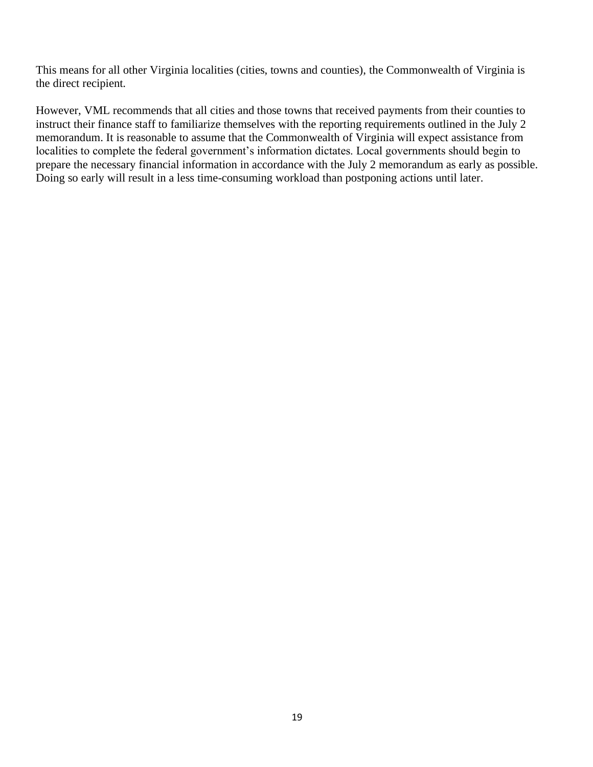This means for all other Virginia localities (cities, towns and counties), the Commonwealth of Virginia is the direct recipient.

However, VML recommends that all cities and those towns that received payments from their counties to instruct their finance staff to familiarize themselves with the reporting requirements outlined in the July 2 memorandum. It is reasonable to assume that the Commonwealth of Virginia will expect assistance from localities to complete the federal government's information dictates. Local governments should begin to prepare the necessary financial information in accordance with the July 2 memorandum as early as possible. Doing so early will result in a less time-consuming workload than postponing actions until later.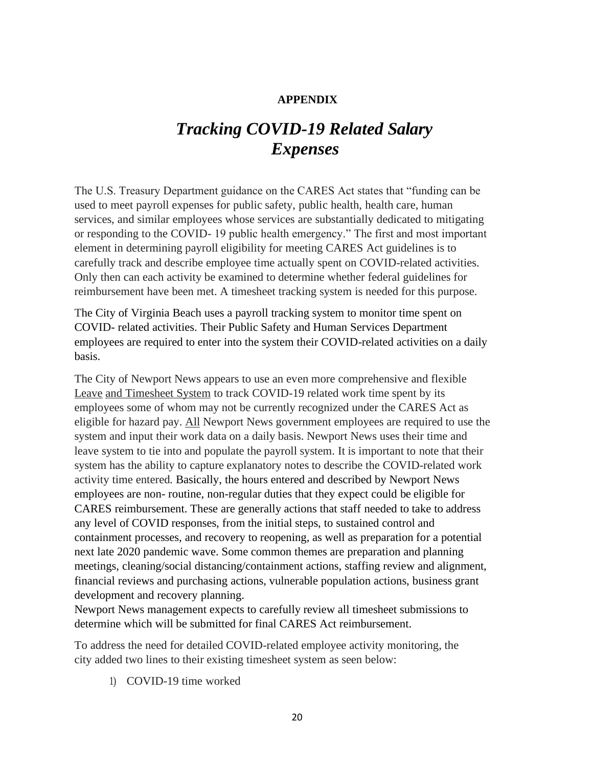#### **APPENDIX**

# *Tracking COVID-19 Related Salary Expenses*

<span id="page-19-0"></span>The U.S. Treasury Department guidance on the CARES Act states that "funding can be used to meet payroll expenses for public safety, public health, health care, human services, and similar employees whose services are substantially dedicated to mitigating or responding to the COVID- 19 public health emergency." The first and most important element in determining payroll eligibility for meeting CARES Act guidelines is to carefully track and describe employee time actually spent on COVID-related activities. Only then can each activity be examined to determine whether federal guidelines for reimbursement have been met. A timesheet tracking system is needed for this purpose.

The City of Virginia Beach uses a payroll tracking system to monitor time spent on COVID- related activities. Their Public Safety and Human Services Department employees are required to enter into the system their COVID-related activities on a daily basis.

The City of Newport News appears to use an even more comprehensive and flexible Leave and Timesheet System to track COVID-19 related work time spent by its employees some of whom may not be currently recognized under the CARES Act as eligible for hazard pay. All Newport News government employees are required to use the system and input their work data on a daily basis. Newport News uses their time and leave system to tie into and populate the payroll system. It is important to note that their system has the ability to capture explanatory notes to describe the COVID-related work activity time entered. Basically, the hours entered and described by Newport News employees are non- routine, non-regular duties that they expect could be eligible for CARES reimbursement. These are generally actions that staff needed to take to address any level of COVID responses, from the initial steps, to sustained control and containment processes, and recovery to reopening, as well as preparation for a potential next late 2020 pandemic wave. Some common themes are preparation and planning meetings, cleaning/social distancing/containment actions, staffing review and alignment, financial reviews and purchasing actions, vulnerable population actions, business grant development and recovery planning.

Newport News management expects to carefully review all timesheet submissions to determine which will be submitted for final CARES Act reimbursement.

To address the need for detailed COVID-related employee activity monitoring, the city added two lines to their existing timesheet system as seen below:

1) COVID-19 time worked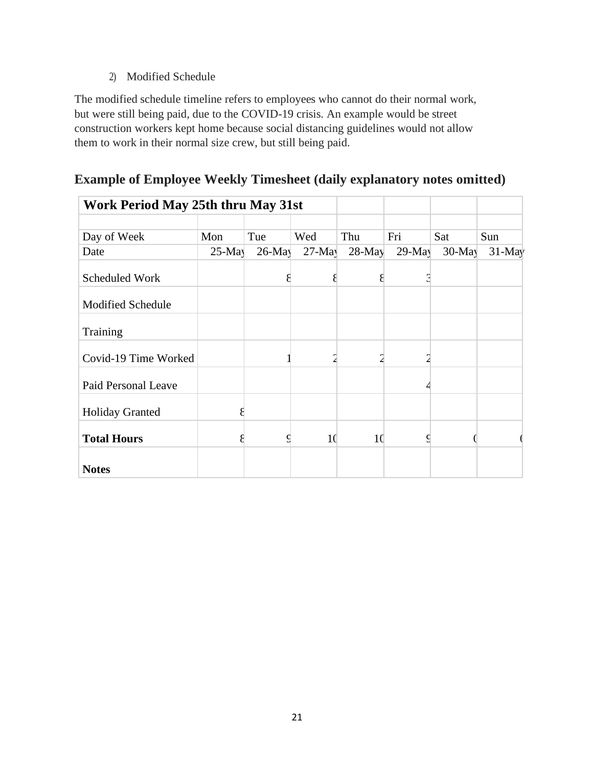#### 2) Modified Schedule

The modified schedule timeline refers to employees who cannot do their normal work, but were still being paid, due to the COVID-19 crisis. An example would be street construction workers kept home because social distancing guidelines would not allow them to work in their normal size crew, but still being paid.

| Work Period May 25th thru May 31st |          |           |          |          |          |          |           |
|------------------------------------|----------|-----------|----------|----------|----------|----------|-----------|
| Day of Week                        | Mon      | Tue       | Wed      | Thu      | Fri      | Sat      | Sun       |
| Date                               | $25-May$ | $26$ -May | $27-May$ | $28-May$ | $29-May$ | $30-May$ | $31$ -May |
| <b>Scheduled Work</b>              |          |           |          |          | 3        |          |           |
| <b>Modified Schedule</b>           |          |           |          |          |          |          |           |
| Training                           |          |           |          |          |          |          |           |
| Covid-19 Time Worked               |          |           |          |          |          |          |           |
| Paid Personal Leave                |          |           |          |          |          |          |           |
| <b>Holiday Granted</b>             |          |           |          |          |          |          |           |
| <b>Total Hours</b>                 |          |           | 10       | 10       | ç        |          |           |
| <b>Notes</b>                       |          |           |          |          |          |          |           |

#### **Example of Employee Weekly Timesheet (daily explanatory notes omitted)**